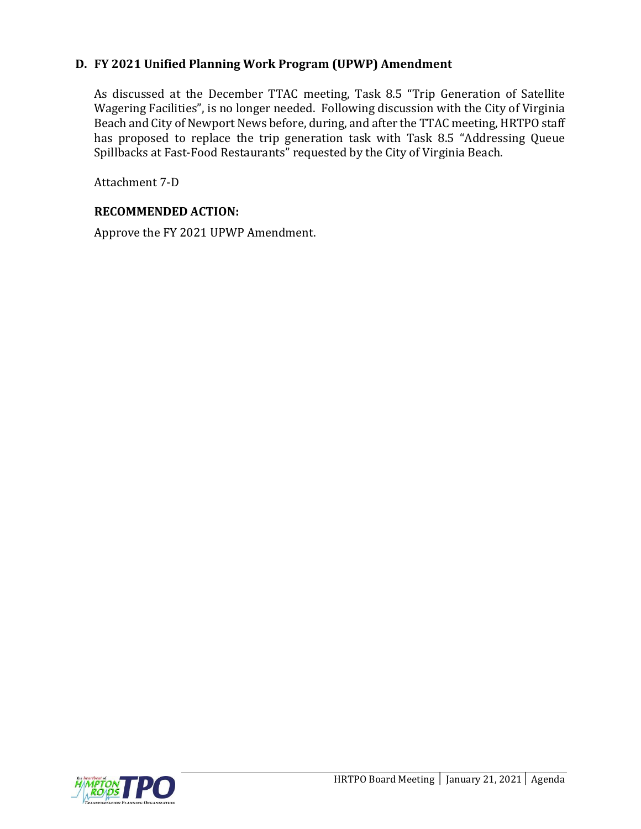# **D. FY 2021 Unified Planning Work Program (UPWP) Amendment**

As discussed at the December TTAC meeting, Task 8.5 "Trip Generation of Satellite Wagering Facilities", is no longer needed. Following discussion with the City of Virginia Beach and City of Newport News before, during, and after the TTAC meeting, HRTPO staff has proposed to replace the trip generation task with Task 8.5 "Addressing Queue Spillbacks at Fast-Food Restaurants" requested by the City of Virginia Beach.

Attachment 7-D

## **RECOMMENDED ACTION:**

Approve the FY 2021 UPWP Amendment.